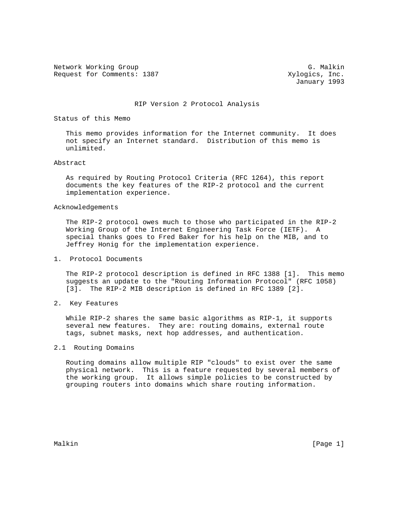Network Working Group G. Malkin G. Malkin Request for Comments: 1387 Xylogics, Inc.

January 1993

# RIP Version 2 Protocol Analysis

Status of this Memo

 This memo provides information for the Internet community. It does not specify an Internet standard. Distribution of this memo is unlimited.

# Abstract

 As required by Routing Protocol Criteria (RFC 1264), this report documents the key features of the RIP-2 protocol and the current implementation experience.

#### Acknowledgements

 The RIP-2 protocol owes much to those who participated in the RIP-2 Working Group of the Internet Engineering Task Force (IETF). A special thanks goes to Fred Baker for his help on the MIB, and to Jeffrey Honig for the implementation experience.

1. Protocol Documents

 The RIP-2 protocol description is defined in RFC 1388 [1]. This memo suggests an update to the "Routing Information Protocol" (RFC 1058) [3]. The RIP-2 MIB description is defined in RFC 1389 [2].

2. Key Features

 While RIP-2 shares the same basic algorithms as RIP-1, it supports several new features. They are: routing domains, external route tags, subnet masks, next hop addresses, and authentication.

# 2.1 Routing Domains

 Routing domains allow multiple RIP "clouds" to exist over the same physical network. This is a feature requested by several members of the working group. It allows simple policies to be constructed by grouping routers into domains which share routing information.

Malkin [Page 1] [Page 1] [Page 1] [Page 1] [Page 1] [Page 1] [Page 1] [Page 1] [Page 1]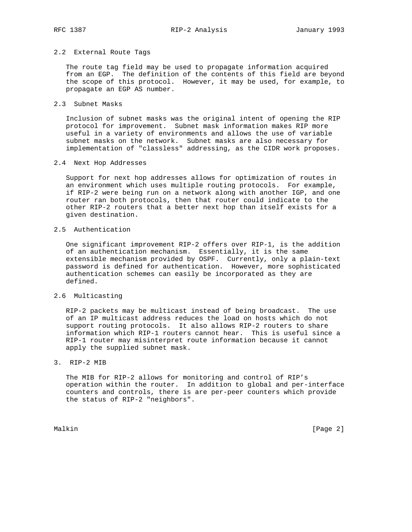# 2.2 External Route Tags

 The route tag field may be used to propagate information acquired from an EGP. The definition of the contents of this field are beyond the scope of this protocol. However, it may be used, for example, to propagate an EGP AS number.

# 2.3 Subnet Masks

 Inclusion of subnet masks was the original intent of opening the RIP protocol for improvement. Subnet mask information makes RIP more useful in a variety of environments and allows the use of variable subnet masks on the network. Subnet masks are also necessary for implementation of "classless" addressing, as the CIDR work proposes.

# 2.4 Next Hop Addresses

 Support for next hop addresses allows for optimization of routes in an environment which uses multiple routing protocols. For example, if RIP-2 were being run on a network along with another IGP, and one router ran both protocols, then that router could indicate to the other RIP-2 routers that a better next hop than itself exists for a given destination.

# 2.5 Authentication

 One significant improvement RIP-2 offers over RIP-1, is the addition of an authentication mechanism. Essentially, it is the same extensible mechanism provided by OSPF. Currently, only a plain-text password is defined for authentication. However, more sophisticated authentication schemes can easily be incorporated as they are defined.

# 2.6 Multicasting

 RIP-2 packets may be multicast instead of being broadcast. The use of an IP multicast address reduces the load on hosts which do not support routing protocols. It also allows RIP-2 routers to share information which RIP-1 routers cannot hear. This is useful since a RIP-1 router may misinterpret route information because it cannot apply the supplied subnet mask.

# 3. RIP-2 MIB

 The MIB for RIP-2 allows for monitoring and control of RIP's operation within the router. In addition to global and per-interface counters and controls, there is are per-peer counters which provide the status of RIP-2 "neighbors".

Malkin [Page 2]